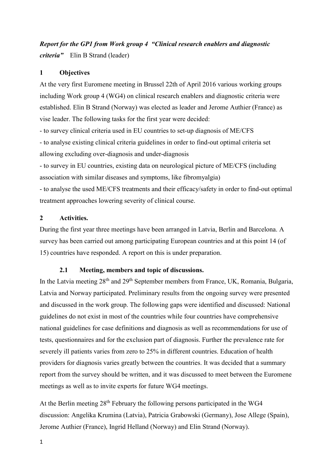# Report for the GP1 from Work group 4 "Clinical research enablers and diagnostic criteria" Elin B Strand (leader)

# 1 Objectives

At the very first Euromene meeting in Brussel 22th of April 2016 various working groups including Work group 4 (WG4) on clinical research enablers and diagnostic criteria were established. Elin B Strand (Norway) was elected as leader and Jerome Authier (France) as vise leader. The following tasks for the first year were decided:

- to survey clinical criteria used in EU countries to set-up diagnosis of ME/CFS

- to analyse existing clinical criteria guidelines in order to find-out optimal criteria set allowing excluding over-diagnosis and under-diagnosis

- to survey in EU countries, existing data on neurological picture of ME/CFS (including association with similar diseases and symptoms, like fibromyalgia)

- to analyse the used ME/CFS treatments and their efficacy/safety in order to find-out optimal treatment approaches lowering severity of clinical course.

# 2 Activities.

During the first year three meetings have been arranged in Latvia, Berlin and Barcelona. A survey has been carried out among participating European countries and at this point 14 (of 15) countries have responded. A report on this is under preparation.

# 2.1 Meeting, members and topic of discussions.

In the Latvia meeting 28<sup>th</sup> and 29<sup>th</sup> September members from France, UK, Romania, Bulgaria, Latvia and Norway participated. Preliminary results from the ongoing survey were presented and discussed in the work group. The following gaps were identified and discussed: National guidelines do not exist in most of the countries while four countries have comprehensive national guidelines for case definitions and diagnosis as well as recommendations for use of tests, questionnaires and for the exclusion part of diagnosis. Further the prevalence rate for severely ill patients varies from zero to 25% in different countries. Education of health providers for diagnosis varies greatly between the countries. It was decided that a summary report from the survey should be written, and it was discussed to meet between the Euromene meetings as well as to invite experts for future WG4 meetings.

At the Berlin meeting  $28<sup>th</sup>$  February the following persons participated in the WG4 discussion: Angelika Krumina (Latvia), Patricia Grabowski (Germany), Jose Allege (Spain), Jerome Authier (France), Ingrid Helland (Norway) and Elin Strand (Norway).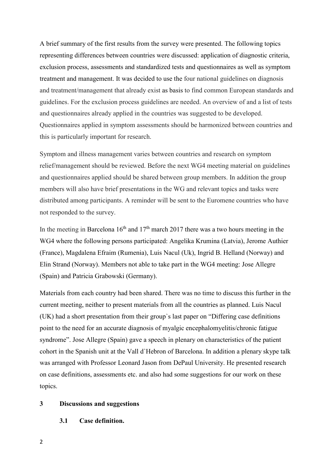A brief summary of the first results from the survey were presented. The following topics representing differences between countries were discussed: application of diagnostic criteria, exclusion process, assessments and standardized tests and questionnaires as well as symptom treatment and management. It was decided to use the four national guidelines on diagnosis and treatment/management that already exist as basis to find common European standards and guidelines. For the exclusion process guidelines are needed. An overview of and a list of tests and questionnaires already applied in the countries was suggested to be developed. Questionnaires applied in symptom assessments should be harmonized between countries and this is particularly important for research.

Symptom and illness management varies between countries and research on symptom relief/management should be reviewed. Before the next WG4 meeting material on guidelines and questionnaires applied should be shared between group members. In addition the group members will also have brief presentations in the WG and relevant topics and tasks were distributed among participants. A reminder will be sent to the Euromene countries who have not responded to the survey.

In the meeting in Barcelona  $16<sup>th</sup>$  and  $17<sup>th</sup>$  march 2017 there was a two hours meeting in the WG4 where the following persons participated: Angelika Krumina (Latvia), Jerome Authier (France), Magdalena Efraim (Rumenia), Luis Nacul (Uk), Ingrid B. Helland (Norway) and Elin Strand (Norway). Members not able to take part in the WG4 meeting: Jose Allegre (Spain) and Patricia Grabowski (Germany).

Materials from each country had been shared. There was no time to discuss this further in the current meeting, neither to present materials from all the countries as planned. Luis Nacul (UK) had a short presentation from their group`s last paper on "Differing case definitions point to the need for an accurate diagnosis of myalgic encephalomyelitis/chronic fatigue syndrome". Jose Allegre (Spain) gave a speech in plenary on characteristics of the patient cohort in the Spanish unit at the Vall d`Hebron of Barcelona. In addition a plenary skype talk was arranged with Professor Leonard Jason from DePaul University. He presented research on case definitions, assessments etc. and also had some suggestions for our work on these topics.

#### 3 Discussions and suggestions

3.1 Case definition.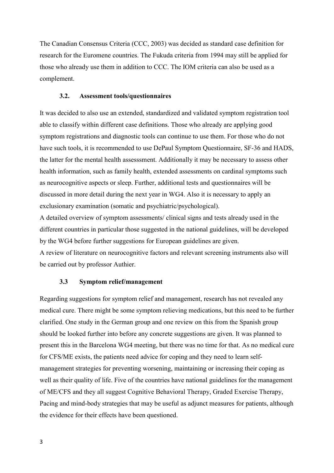The Canadian Consensus Criteria (CCC, 2003) was decided as standard case definition for research for the Euromene countries. The Fukuda criteria from 1994 may still be applied for those who already use them in addition to CCC. The IOM criteria can also be used as a complement.

### 3.2. Assessment tools/questionnaires

It was decided to also use an extended, standardized and validated symptom registration tool able to classify within different case definitions. Those who already are applying good symptom registrations and diagnostic tools can continue to use them. For those who do not have such tools, it is recommended to use DePaul Symptom Questionnaire, SF-36 and HADS, the latter for the mental health assesssment. Additionally it may be necessary to assess other health information, such as family health, extended assessments on cardinal symptoms such as neurocognitive aspects or sleep. Further, additional tests and questionnaires will be discussed in more detail during the next year in WG4. Also it is necessary to apply an exclusionary examination (somatic and psychiatric/psychological).

A detailed overview of symptom assessments/ clinical signs and tests already used in the different countries in particular those suggested in the national guidelines, will be developed by the WG4 before further suggestions for European guidelines are given. A review of literature on neurocognitive factors and relevant screening instruments also will be carried out by professor Authier.

## 3.3 Symptom relief/management

Regarding suggestions for symptom relief and management, research has not revealed any medical cure. There might be some symptom relieving medications, but this need to be further clarified. One study in the German group and one review on this from the Spanish group should be looked further into before any concrete suggestions are given. It was planned to present this in the Barcelona WG4 meeting, but there was no time for that. As no medical cure for CFS/ME exists, the patients need advice for coping and they need to learn selfmanagement strategies for preventing worsening, maintaining or increasing their coping as well as their quality of life. Five of the countries have national guidelines for the management of ME/CFS and they all suggest Cognitive Behavioral Therapy, Graded Exercise Therapy, Pacing and mind-body strategies that may be useful as adjunct measures for patients, although the evidence for their effects have been questioned.